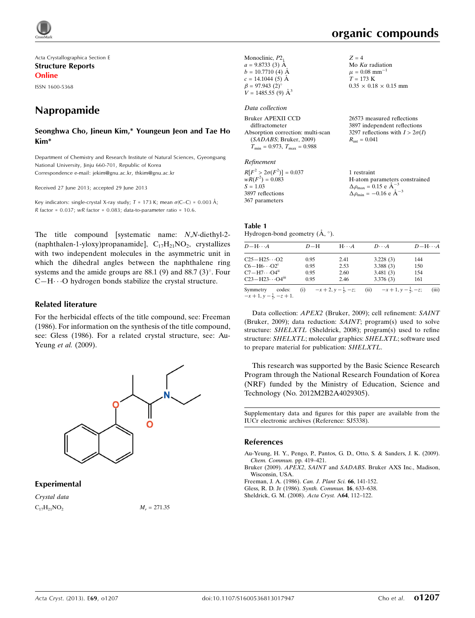

Acta Crystallographica Section E Structure Reports Online ISSN 1600-5368

# Napropamide

#### Seonghwa Cho, Jineun Kim,\* Youngeun Jeon and Tae Ho Kim\*

Department of Chemistry and Research Institute of Natural Sciences, Gyeongsang National University, Jinju 660-701, Republic of Korea Correspondence e-mail: [jekim@gnu.ac.kr, thkim@gnu.ac.kr](https://scripts.iucr.org/cgi-bin/cr.cgi?rm=pdfbb&cnor=sj5338&bbid=BB5)

Received 27 June 2013; accepted 29 June 2013

Key indicators: single-crystal X-ray study;  $T = 173$  K; mean  $\sigma$ (C–C) = 0.003 Å; R factor =  $0.037$ ; wR factor =  $0.083$ ; data-to-parameter ratio =  $10.6$ .

The title compound [systematic name: N,N-diethyl-2- (naphthalen-1-yloxy)propanamide],  $C_{17}H_{21}NO_2$ , crystallizes with two independent molecules in the asymmetric unit in which the dihedral angles between the naphthalene ring systems and the amide groups are  $88.1$  (9) and  $88.7$  (3) $^{\circ}$ . Four  $C-H\cdots$ O hydrogen bonds stabilize the crystal structure.

#### Related literature

For the herbicidal effects of the title compound, see: Freeman (1986). For information on the synthesis of the title compound, see: Gless (1986). For a related crystal structure, see: Au-Yeung et al. (2009).



#### Experimental

Crystal data  $C_{17}H_{21}NO_2$   $M_r = 271.35$ 

| Monoclinic, $P2_1$<br>$a = 9.8733(3)$ Å<br>$b = 10.7710$ (4) Å<br>$c = 14.1044(5)$ Å<br>$\beta = 97.943$ (2) <sup>o</sup><br>$V = 1485.55(9)$ $\AA^3$ | $Z = 4$<br>Mo $K\alpha$ radiation<br>$\mu = 0.08$ mm <sup>-1</sup><br>$T = 173 \text{ K}$<br>$0.35 \times 0.18 \times 0.15$ mm |
|-------------------------------------------------------------------------------------------------------------------------------------------------------|--------------------------------------------------------------------------------------------------------------------------------|
| Data collection<br>Bruker APEXII CCD<br>diffractometer                                                                                                | 26573 measured reflections<br>3897 independent reflections                                                                     |

Absorption correction: multi-scan (SADABS; Bruker, 2009)  $T_{\text{min}} = 0.973$ ,  $T_{\text{max}} = 0.988$ 3297 reflections with  $I > 2\sigma(I)$  $R_{\text{int}} = 0.041$ 

#### Refinement

| $R[F^2 > 2\sigma(F^2)] = 0.037$ | 1 restraint                                     |
|---------------------------------|-------------------------------------------------|
| $wR(F^2) = 0.083$               | H-atom parameters constrained                   |
| $S = 1.03$                      | $\Delta \rho_{\text{max}} = 0.15$ e $\AA^{-3}$  |
| 3897 reflections                | $\Delta \rho_{\text{min}} = -0.16$ e $\AA^{-3}$ |
| 367 parameters                  |                                                 |

#### Table 1 Hydrogen-bond geometry  $(\AA, \degree)$ .

| $D - H \cdots A$                                          | $D-H$ | $H\cdots A$ | $D\cdots A$                                                    | $D-H\cdots A$ |
|-----------------------------------------------------------|-------|-------------|----------------------------------------------------------------|---------------|
| $C25 - H25 \cdots O2$                                     | 0.95  | 2.41        | 3.228(3)                                                       | 144           |
| $C6 - H6 \cdots O2^1$                                     | 0.95  | 2.53        | 3.388(3)                                                       | 150           |
| $C7 - H7 \cdots O4$ <sup>ii</sup>                         | 0.95  | 2.60        | 3.481(3)                                                       | 154           |
| $C23 - H23 \cdots O4m$                                    | 0.95  | 2.46        | 3.376(3)                                                       | 161           |
| Symmetry<br>codes:<br>$-x+1$ , $y-\frac{1}{2}$ , $-z+1$ . |       |             | (i) $-x+2, y-\frac{1}{2}, -z;$ (ii) $-x+1, y-\frac{3}{2}, -z;$ | (iii)         |

Data collection: APEX2 (Bruker, 2009); cell refinement: SAINT (Bruker, 2009); data reduction: SAINT; program(s) used to solve structure: SHELXTL (Sheldrick, 2008); program(s) used to refine structure: SHELXTL; molecular graphics: SHELXTL; software used to prepare material for publication: SHELXTL.

This research was supported by the Basic Science Research Program through the National Research Foundation of Korea (NRF) funded by the Ministry of Education, Science and Technology (No. 2012M2B2A4029305).

Supplementary data and figures for this paper are available from the IUCr electronic archives (Reference: SJ5338).

#### References

[Au-Yeung, H. Y., Pengo, P., Pantos, G. D., Otto, S. & Sanders, J. K. \(2009\).](https://scripts.iucr.org/cgi-bin/cr.cgi?rm=pdfbb&cnor=sj5338&bbid=BB1) [Chem. Commun.](https://scripts.iucr.org/cgi-bin/cr.cgi?rm=pdfbb&cnor=sj5338&bbid=BB1) pp. 419–421.

Bruker (2009). APEX2, SAINT and SADABS[. Bruker AXS Inc., Madison,](https://scripts.iucr.org/cgi-bin/cr.cgi?rm=pdfbb&cnor=sj5338&bbid=BB2) [Wisconsin, USA.](https://scripts.iucr.org/cgi-bin/cr.cgi?rm=pdfbb&cnor=sj5338&bbid=BB2)

[Freeman, J. A. \(1986\).](https://scripts.iucr.org/cgi-bin/cr.cgi?rm=pdfbb&cnor=sj5338&bbid=BB3) Can. J. Plant Sci. 66, 141-152.

[Gless, R. D. Jr \(1986\).](https://scripts.iucr.org/cgi-bin/cr.cgi?rm=pdfbb&cnor=sj5338&bbid=BB4) Synth. Commun. 16, 633–638.

[Sheldrick, G. M. \(2008\).](https://scripts.iucr.org/cgi-bin/cr.cgi?rm=pdfbb&cnor=sj5338&bbid=BB5) Acta Cryst. A64, 112–122.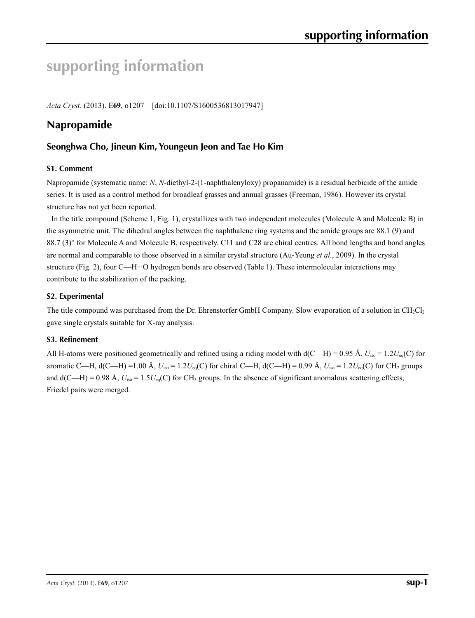# **supporting information**

*Acta Cryst.* (2013). E**69**, o1207 [doi:10.1107/S1600536813017947]

# **Napropamide**

## **Seonghwa Cho, Jineun Kim, Youngeun Jeon and Tae Ho Kim**

#### **S1. Comment**

Napropamide (systematic name: *N*, *N*-diethyl-2-(1-naphthalenyloxy) propanamide) is a residual herbicide of the amide series. It is used as a control method for broadleaf grasses and annual grasses (Freeman, 1986). However its crystal structure has not yet been reported.

In the title compound (Scheme 1, Fig. 1), crystallizes with two independent molecules (Molecule A and Molecule B) in the asymmetric unit. The dihedral angles between the naphthalene ring systems and the amide groups are 88.1 (9) and 88.7 (3)° for Molecule A and Molecule B, respectively. C11 and C28 are chiral centres. All bond lengths and bond angles are normal and comparable to those observed in a similar crystal structure (Au-Yeung *et al.*, 2009). In the crystal structure (Fig. 2), four C—H…O hydrogen bonds are observed (Table 1). These intermolecular interactions may contribute to the stabilization of the packing.

#### **S2. Experimental**

The title compound was purchased from the Dr. Ehrenstorfer GmbH Company. Slow evaporation of a solution in  $CH_2Cl_2$ gave single crystals suitable for X-ray analysis.

#### **S3. Refinement**

All H-atoms were positioned geometrically and refined using a riding model with  $d(C-H) = 0.95 \text{ Å}$ ,  $U_{iso} = 1.2 U_{eq}(C)$  for aromatic C—H,  $d(C-H) = 1.00 \text{ Å}$ ,  $U_{iso} = 1.2 U_{eq}(C)$  for chiral C—H,  $d(C-H) = 0.99 \text{ Å}$ ,  $U_{iso} = 1.2 U_{eq}(C)$  for CH<sub>2</sub> groups and  $d(C-H) = 0.98$  Å,  $U_{iso} = 1.5U_{eq}(C)$  for CH<sub>3</sub> groups. In the absence of significant anomalous scattering effects, Friedel pairs were merged.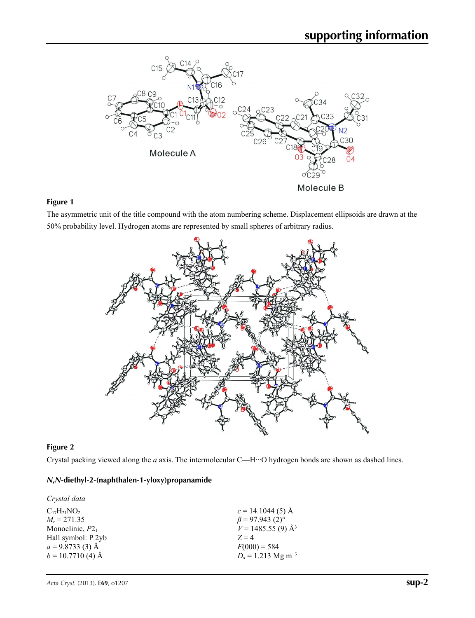

## **Figure 1**

The asymmetric unit of the title compound with the atom numbering scheme. Displacement ellipsoids are drawn at the 50% probability level. Hydrogen atoms are represented by small spheres of arbitrary radius.



### **Figure 2**

Crystal packing viewed along the *a* axis. The intermolecular C—H···O hydrogen bonds are shown as dashed lines.

### *N***,***N***-diethyl-2-(naphthalen-1-yloxy)propanamide**

| Crystal data        |                                   |
|---------------------|-----------------------------------|
| $C_{17}H_{21}NO_2$  | $c = 14.1044(5)$ Å                |
| $M_r = 271.35$      | $\beta$ = 97.943 (2) <sup>o</sup> |
| Monoclinic, $P2_1$  | $V = 1485.55(9)$ Å <sup>3</sup>   |
| Hall symbol: P 2yb  | $Z=4$                             |
| $a = 9.8733(3)$ Å   | $F(000) = 584$                    |
| $b = 10.7710$ (4) Å | $D_x = 1.213$ Mg m <sup>-3</sup>  |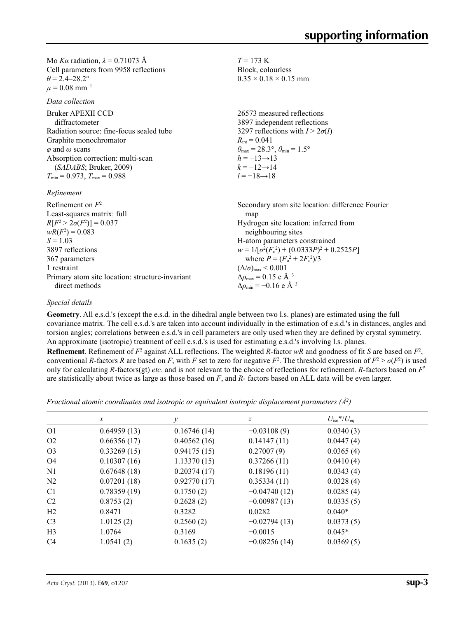Mo *Kα* radiation,  $\lambda = 0.71073$  Å Cell parameters from 9958 reflections  $\theta = 2.4 - 28.2$ °  $\mu = 0.08$  mm<sup>-1</sup>

*Data collection*

*Refinement*

| Refinement on $F^2$<br>Least-squares matrix: full | Secondary atom site location: difference Fourier<br>map |
|---------------------------------------------------|---------------------------------------------------------|
| $R[F^2 > 2\sigma(F^2)] = 0.037$                   | Hydrogen site location: inferred from                   |
| $wR(F^2) = 0.083$                                 | neighbouring sites                                      |
| $S = 1.03$                                        | H-atom parameters constrained                           |
| 3897 reflections                                  | $w = 1/[\sigma^2(F_0^2) + (0.0333P)^2 + 0.2525P]$       |
| 367 parameters                                    | where $P = (F_0^2 + 2F_c^2)/3$                          |
| 1 restraint                                       | $(\Delta/\sigma)_{\text{max}}$ < 0.001                  |
| Primary atom site location: structure invariant   | $\Delta \rho_{\text{max}} = 0.15$ e Å <sup>-3</sup>     |
| direct methods                                    | $\Delta \rho_{\rm min} = -0.16$ e Å <sup>-3</sup>       |

#### *Special details*

**Geometry**. All e.s.d.'s (except the e.s.d. in the dihedral angle between two l.s. planes) are estimated using the full covariance matrix. The cell e.s.d.'s are taken into account individually in the estimation of e.s.d.'s in distances, angles and torsion angles; correlations between e.s.d.'s in cell parameters are only used when they are defined by crystal symmetry. An approximate (isotropic) treatment of cell e.s.d.'s is used for estimating e.s.d.'s involving l.s. planes.

 $T = 173$  K Block, colourless  $0.35 \times 0.18 \times 0.15$  mm

 $R_{\text{int}} = 0.041$ 

 $h = -13 \rightarrow 13$  $k = -12 \rightarrow 14$ *l* = −18→18

26573 measured reflections 3897 independent reflections 3297 reflections with  $I > 2\sigma(I)$ 

 $\theta_{\text{max}} = 28.3^{\circ}, \theta_{\text{min}} = 1.5^{\circ}$ 

**Refinement**. Refinement of  $F^2$  against ALL reflections. The weighted *R*-factor  $wR$  and goodness of fit *S* are based on  $F^2$ , conventional *R*-factors *R* are based on *F*, with *F* set to zero for negative  $F^2$ . The threshold expression of  $F^2 > \sigma(F^2)$  is used only for calculating *R*-factors(gt) *etc*. and is not relevant to the choice of reflections for refinement. *R*-factors based on *F*<sup>2</sup> are statistically about twice as large as those based on *F*, and *R*- factors based on ALL data will be even larger.

*Fractional atomic coordinates and isotropic or equivalent isotropic displacement parameters (Å<sup>2</sup>)* 

|                | $\mathcal{X}$ | ν           | z              | $U_{\rm iso}*/U_{\rm eq}$ |  |
|----------------|---------------|-------------|----------------|---------------------------|--|
| O <sub>1</sub> | 0.64959(13)   | 0.16746(14) | $-0.03108(9)$  | 0.0340(3)                 |  |
| O <sub>2</sub> | 0.66356(17)   | 0.40562(16) | 0.14147(11)    | 0.0447(4)                 |  |
| O <sub>3</sub> | 0.33269(15)   | 0.94175(15) | 0.27007(9)     | 0.0365(4)                 |  |
| O4             | 0.10307(16)   | 1.13370(15) | 0.37266(11)    | 0.0410(4)                 |  |
| N <sub>1</sub> | 0.67648(18)   | 0.20374(17) | 0.18196(11)    | 0.0343(4)                 |  |
| N <sub>2</sub> | 0.07201(18)   | 0.92770(17) | 0.35334(11)    | 0.0328(4)                 |  |
| C <sub>1</sub> | 0.78359(19)   | 0.1750(2)   | $-0.04740(12)$ | 0.0285(4)                 |  |
| C <sub>2</sub> | 0.8753(2)     | 0.2628(2)   | $-0.00987(13)$ | 0.0335(5)                 |  |
| H2             | 0.8471        | 0.3282      | 0.0282         | $0.040*$                  |  |
| C <sub>3</sub> | 1.0125(2)     | 0.2560(2)   | $-0.02794(13)$ | 0.0373(5)                 |  |
| H <sub>3</sub> | 1.0764        | 0.3169      | $-0.0015$      | $0.045*$                  |  |
| C <sub>4</sub> | 1.0541(2)     | 0.1635(2)   | $-0.08256(14)$ | 0.0369(5)                 |  |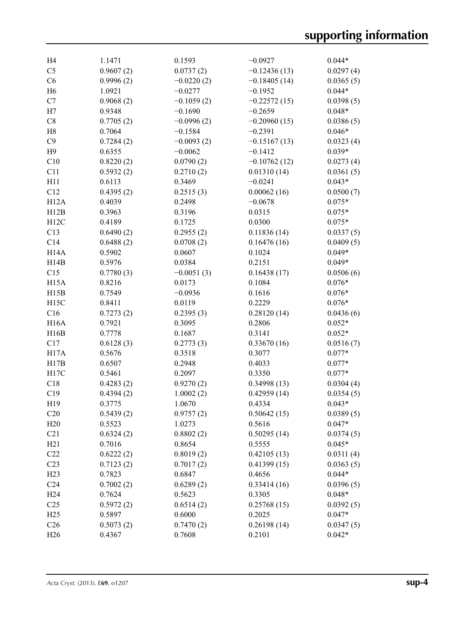| H <sub>4</sub>    | 1.1471    | 0.1593       | $-0.0927$      | $0.044*$  |
|-------------------|-----------|--------------|----------------|-----------|
| C <sub>5</sub>    | 0.9607(2) | 0.0737(2)    | $-0.12436(13)$ | 0.0297(4) |
| C6                | 0.9996(2) | $-0.0220(2)$ | $-0.18405(14)$ | 0.0365(5) |
| H <sub>6</sub>    | 1.0921    | $-0.0277$    | $-0.1952$      | $0.044*$  |
| C7                | 0.9068(2) | $-0.1059(2)$ | $-0.22572(15)$ | 0.0398(5) |
| H7                | 0.9348    | $-0.1690$    | $-0.2659$      | $0.048*$  |
| C8                | 0.7705(2) | $-0.0996(2)$ | $-0.20960(15)$ | 0.0386(5) |
| H <sub>8</sub>    | 0.7064    | $-0.1584$    | $-0.2391$      | $0.046*$  |
| C9                | 0.7284(2) | $-0.0093(2)$ | $-0.15167(13)$ | 0.0323(4) |
| H <sub>9</sub>    | 0.6355    | $-0.0062$    | $-0.1412$      | $0.039*$  |
| C10               | 0.8220(2) | 0.0790(2)    | $-0.10762(12)$ | 0.0273(4) |
| C11               | 0.5932(2) | 0.2710(2)    | 0.01310(14)    | 0.0361(5) |
| H11               | 0.6113    | 0.3469       | $-0.0241$      | $0.043*$  |
| C12               | 0.4395(2) | 0.2515(3)    | 0.00062(16)    | 0.0500(7) |
| H12A              | 0.4039    | 0.2498       | $-0.0678$      | $0.075*$  |
| H12B              | 0.3963    | 0.3196       | 0.0315         | $0.075*$  |
| H12C              | 0.4189    | 0.1725       | 0.0300         | $0.075*$  |
| C13               | 0.6490(2) | 0.2955(2)    | 0.11836(14)    | 0.0337(5) |
| C14               | 0.6488(2) | 0.0708(2)    | 0.16476(16)    | 0.0409(5) |
| H <sub>14</sub> A | 0.5902    | 0.0607       | 0.1024         | $0.049*$  |
| H14B              | 0.5976    | 0.0384       | 0.2151         | $0.049*$  |
| C15               | 0.7780(3) | $-0.0051(3)$ | 0.16438(17)    | 0.0506(6) |
| H15A              | 0.8216    | 0.0173       | 0.1084         | $0.076*$  |
| H15B              | 0.7549    | $-0.0936$    | 0.1616         | $0.076*$  |
| H <sub>15</sub> C | 0.8411    | 0.0119       | 0.2229         | $0.076*$  |
| C16               | 0.7273(2) | 0.2395(3)    | 0.28120(14)    | 0.0436(6) |
| <b>H16A</b>       | 0.7921    | 0.3095       | 0.2806         | $0.052*$  |
| H16B              | 0.7778    | 0.1687       | 0.3141         | $0.052*$  |
| C17               | 0.6128(3) | 0.2773(3)    | 0.33670(16)    | 0.0516(7) |
| H <sub>17</sub> A | 0.5676    | 0.3518       | 0.3077         | $0.077*$  |
| H17B              | 0.6507    | 0.2948       | 0.4033         | $0.077*$  |
| H17C              | 0.5461    | 0.2097       | 0.3350         | $0.077*$  |
| C18               | 0.4283(2) | 0.9270(2)    | 0.34998(13)    | 0.0304(4) |
| C19               | 0.4394(2) | 1.0002(2)    | 0.42959(14)    | 0.0354(5) |
| H19               | 0.3775    | 1.0670       | 0.4334         | $0.043*$  |
| C20               | 0.5439(2) | 0.9757(2)    | 0.50642(15)    | 0.0389(5) |
| H20               | 0.5523    | 1.0273       | 0.5616         | $0.047*$  |
| C21               | 0.6324(2) | 0.8802(2)    | 0.50295(14)    | 0.0374(5) |
| H21               | 0.7016    | 0.8654       | 0.5555         | $0.045*$  |
| C22               | 0.6222(2) | 0.8019(2)    | 0.42105(13)    | 0.0311(4) |
| C <sub>23</sub>   | 0.7123(2) | 0.7017(2)    | 0.41399(15)    | 0.0363(5) |
| H23               | 0.7823    | 0.6847       | 0.4656         | $0.044*$  |
| C <sub>24</sub>   | 0.7002(2) | 0.6289(2)    | 0.33414(16)    | 0.0396(5) |
| H <sub>24</sub>   | 0.7624    | 0.5623       | 0.3305         | $0.048*$  |
| C <sub>25</sub>   | 0.5972(2) | 0.6514(2)    | 0.25768(15)    | 0.0392(5) |
| H <sub>25</sub>   | 0.5897    | 0.6000       | 0.2025         | $0.047*$  |
| C <sub>26</sub>   | 0.5073(2) | 0.7470(2)    | 0.26198(14)    | 0.0347(5) |
| H <sub>26</sub>   | 0.4367    | 0.7608       | 0.2101         | $0.042*$  |
|                   |           |              |                |           |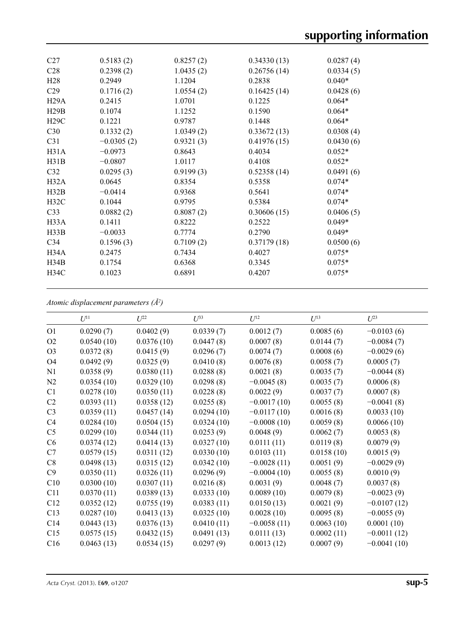| C <sub>27</sub>   | 0.5183(2)    | 0.8257(2) | 0.34330(13) | 0.0287(4) |  |
|-------------------|--------------|-----------|-------------|-----------|--|
| C <sub>28</sub>   | 0.2398(2)    | 1.0435(2) | 0.26756(14) | 0.0334(5) |  |
| H <sub>28</sub>   | 0.2949       | 1.1204    | 0.2838      | $0.040*$  |  |
| C <sub>29</sub>   | 0.1716(2)    | 1.0554(2) | 0.16425(14) | 0.0428(6) |  |
| H29A              | 0.2415       | 1.0701    | 0.1225      | $0.064*$  |  |
| H29B              | 0.1074       | 1.1252    | 0.1590      | $0.064*$  |  |
| H29C              | 0.1221       | 0.9787    | 0.1448      | $0.064*$  |  |
| C30               | 0.1332(2)    | 1.0349(2) | 0.33672(13) | 0.0308(4) |  |
| C31               | $-0.0305(2)$ | 0.9321(3) | 0.41976(15) | 0.0430(6) |  |
| H31A              | $-0.0973$    | 0.8643    | 0.4034      | $0.052*$  |  |
| H31B              | $-0.0807$    | 1.0117    | 0.4108      | $0.052*$  |  |
| C32               | 0.0295(3)    | 0.9199(3) | 0.52358(14) | 0.0491(6) |  |
| H32A              | 0.0645       | 0.8354    | 0.5358      | $0.074*$  |  |
| H32B              | $-0.0414$    | 0.9368    | 0.5641      | $0.074*$  |  |
| H32C              | 0.1044       | 0.9795    | 0.5384      | $0.074*$  |  |
| C <sub>33</sub>   | 0.0882(2)    | 0.8087(2) | 0.30606(15) | 0.0406(5) |  |
| H <sub>3</sub> 3A | 0.1411       | 0.8222    | 0.2522      | $0.049*$  |  |
| H33B              | $-0.0033$    | 0.7774    | 0.2790      | $0.049*$  |  |
| C <sub>34</sub>   | 0.1596(3)    | 0.7109(2) | 0.37179(18) | 0.0500(6) |  |
| H34A              | 0.2475       | 0.7434    | 0.4027      | $0.075*$  |  |
| H34B              | 0.1754       | 0.6368    | 0.3345      | $0.075*$  |  |
| H34C              | 0.1023       | 0.6891    | 0.4207      | $0.075*$  |  |
|                   |              |           |             |           |  |

*Atomic displacement parameters (Å2 )*

|                | $U^{11}$   | $U^{22}$   | $U^{33}$   | $U^{12}$      | $U^{13}$   | $U^{23}$      |
|----------------|------------|------------|------------|---------------|------------|---------------|
| O <sub>1</sub> | 0.0290(7)  | 0.0402(9)  | 0.0339(7)  | 0.0012(7)     | 0.0085(6)  | $-0.0103(6)$  |
| O <sub>2</sub> | 0.0540(10) | 0.0376(10) | 0.0447(8)  | 0.0007(8)     | 0.0144(7)  | $-0.0084(7)$  |
| O <sub>3</sub> | 0.0372(8)  | 0.0415(9)  | 0.0296(7)  | 0.0074(7)     | 0.0008(6)  | $-0.0029(6)$  |
| O4             | 0.0492(9)  | 0.0325(9)  | 0.0410(8)  | 0.0076(8)     | 0.0058(7)  | 0.0005(7)     |
| N1             | 0.0358(9)  | 0.0380(11) | 0.0288(8)  | 0.0021(8)     | 0.0035(7)  | $-0.0044(8)$  |
| N <sub>2</sub> | 0.0354(10) | 0.0329(10) | 0.0298(8)  | $-0.0045(8)$  | 0.0035(7)  | 0.0006(8)     |
| C1             | 0.0278(10) | 0.0350(11) | 0.0228(8)  | 0.0022(9)     | 0.0037(7)  | 0.0007(8)     |
| C <sub>2</sub> | 0.0393(11) | 0.0358(12) | 0.0255(8)  | $-0.0017(10)$ | 0.0055(8)  | $-0.0041(8)$  |
| C <sub>3</sub> | 0.0359(11) | 0.0457(14) | 0.0294(10) | $-0.0117(10)$ | 0.0016(8)  | 0.0033(10)    |
| C <sub>4</sub> | 0.0284(10) | 0.0504(15) | 0.0324(10) | $-0.0008(10)$ | 0.0059(8)  | 0.0066(10)    |
| C <sub>5</sub> | 0.0299(10) | 0.0344(11) | 0.0253(9)  | 0.0048(9)     | 0.0062(7)  | 0.0053(8)     |
| C <sub>6</sub> | 0.0374(12) | 0.0414(13) | 0.0327(10) | 0.0111(11)    | 0.0119(8)  | 0.0079(9)     |
| C7             | 0.0579(15) | 0.0311(12) | 0.0330(10) | 0.0103(11)    | 0.0158(10) | 0.0015(9)     |
| C8             | 0.0498(13) | 0.0315(12) | 0.0342(10) | $-0.0028(11)$ | 0.0051(9)  | $-0.0029(9)$  |
| C9             | 0.0350(11) | 0.0326(11) | 0.0296(9)  | $-0.0004(10)$ | 0.0055(8)  | 0.0010(9)     |
| C10            | 0.0300(10) | 0.0307(11) | 0.0216(8)  | 0.0031(9)     | 0.0048(7)  | 0.0037(8)     |
| C11            | 0.0370(11) | 0.0389(13) | 0.0333(10) | 0.0089(10)    | 0.0079(8)  | $-0.0023(9)$  |
| C12            | 0.0352(12) | 0.0755(19) | 0.0383(11) | 0.0150(13)    | 0.0021(9)  | $-0.0107(12)$ |
| C13            | 0.0287(10) | 0.0413(13) | 0.0325(10) | 0.0028(10)    | 0.0095(8)  | $-0.0055(9)$  |
| C14            | 0.0443(13) | 0.0376(13) | 0.0410(11) | $-0.0058(11)$ | 0.0063(10) | 0.0001(10)    |
| C15            | 0.0575(15) | 0.0432(15) | 0.0491(13) | 0.0111(13)    | 0.0002(11) | $-0.0011(12)$ |
| C16            | 0.0463(13) | 0.0534(15) | 0.0297(9)  | 0.0013(12)    | 0.0007(9)  | $-0.0041(10)$ |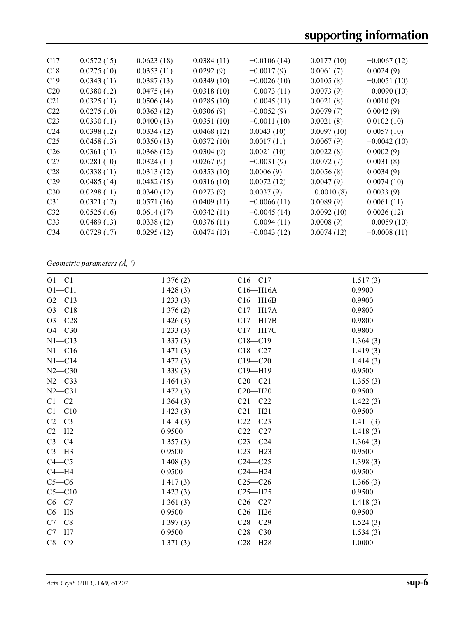| C17             | 0.0572(15) | 0.0623(18) | 0.0384(11) | $-0.0106(14)$ | 0.0177(10)   | $-0.0067(12)$ |
|-----------------|------------|------------|------------|---------------|--------------|---------------|
| C18             | 0.0275(10) | 0.0353(11) | 0.0292(9)  | $-0.0017(9)$  | 0.0061(7)    | 0.0024(9)     |
| C19             | 0.0343(11) | 0.0387(13) | 0.0349(10) | $-0.0026(10)$ | 0.0105(8)    | $-0.0051(10)$ |
| C <sub>20</sub> | 0.0380(12) | 0.0475(14) | 0.0318(10) | $-0.0073(11)$ | 0.0073(9)    | $-0.0090(10)$ |
| C <sub>21</sub> | 0.0325(11) | 0.0506(14) | 0.0285(10) | $-0.0045(11)$ | 0.0021(8)    | 0.0010(9)     |
| C <sub>22</sub> | 0.0275(10) | 0.0363(12) | 0.0306(9)  | $-0.0052(9)$  | 0.0079(7)    | 0.0042(9)     |
| C <sub>23</sub> | 0.0330(11) | 0.0400(13) | 0.0351(10) | $-0.0011(10)$ | 0.0021(8)    | 0.0102(10)    |
| C <sub>24</sub> | 0.0398(12) | 0.0334(12) | 0.0468(12) | 0.0043(10)    | 0.0097(10)   | 0.0057(10)    |
| C <sub>25</sub> | 0.0458(13) | 0.0350(13) | 0.0372(10) | 0.0017(11)    | 0.0067(9)    | $-0.0042(10)$ |
| C <sub>26</sub> | 0.0361(11) | 0.0368(12) | 0.0304(9)  | 0.0021(10)    | 0.0022(8)    | 0.0002(9)     |
| C27             | 0.0281(10) | 0.0324(11) | 0.0267(9)  | $-0.0031(9)$  | 0.0072(7)    | 0.0031(8)     |
| C <sub>28</sub> | 0.0338(11) | 0.0313(12) | 0.0353(10) | 0.0006(9)     | 0.0056(8)    | 0.0034(9)     |
| C <sub>29</sub> | 0.0485(14) | 0.0482(15) | 0.0316(10) | 0.0072(12)    | 0.0047(9)    | 0.0074(10)    |
| C30             | 0.0298(11) | 0.0340(12) | 0.0273(9)  | 0.0037(9)     | $-0.0010(8)$ | 0.0033(9)     |
| C <sub>31</sub> | 0.0321(12) | 0.0571(16) | 0.0409(11) | $-0.0066(11)$ | 0.0089(9)    | 0.0061(11)    |
| C <sub>32</sub> | 0.0525(16) | 0.0614(17) | 0.0342(11) | $-0.0045(14)$ | 0.0092(10)   | 0.0026(12)    |
| C33             | 0.0489(13) | 0.0338(12) | 0.0376(11) | $-0.0094(11)$ | 0.0008(9)    | $-0.0059(10)$ |
| C <sub>34</sub> | 0.0729(17) | 0.0295(12) | 0.0474(13) | $-0.0043(12)$ | 0.0074(12)   | $-0.0008(11)$ |
|                 |            |            |            |               |              |               |

## *Geometric parameters (Å, º)*

| $O1 - C1$  | 1.376(2) | $C16 - C17$  | 1.517(3) |
|------------|----------|--------------|----------|
| $O1 - C11$ | 1.428(3) | $C16 - H16A$ | 0.9900   |
| $O2 - C13$ | 1.233(3) | $C16 - H16B$ | 0.9900   |
| $O3 - C18$ | 1.376(2) | $C17 - H17A$ | 0.9800   |
| $O3 - C28$ | 1.426(3) | $C17 - H17B$ | 0.9800   |
| $O4 - C30$ | 1.233(3) | C17-H17C     | 0.9800   |
| $N1 - C13$ | 1.337(3) | $C18 - C19$  | 1.364(3) |
| $N1 - C16$ | 1.471(3) | $C18 - C27$  | 1.419(3) |
| $N1 - C14$ | 1.472(3) | $C19 - C20$  | 1.414(3) |
| $N2 - C30$ | 1.339(3) | $C19 - H19$  | 0.9500   |
| $N2 - C33$ | 1.464(3) | $C20 - C21$  | 1.355(3) |
| $N2 - C31$ | 1.472(3) | $C20 - H20$  | 0.9500   |
| $C1 - C2$  | 1.364(3) | $C21 - C22$  | 1.422(3) |
| $C1 - C10$ | 1.423(3) | $C21 - H21$  | 0.9500   |
| $C2-C3$    | 1.414(3) | $C22-C23$    | 1.411(3) |
| $C2-H2$    | 0.9500   | $C22-C27$    | 1.418(3) |
| $C3-C4$    | 1.357(3) | $C23-C24$    | 1.364(3) |
| $C3-H3$    | 0.9500   | $C23 - H23$  | 0.9500   |
| $C4 - C5$  | 1.408(3) | $C24 - C25$  | 1.398(3) |
| $C4 - H4$  | 0.9500   | $C24 - H24$  | 0.9500   |
| $C5-C6$    | 1.417(3) | $C25-C26$    | 1.366(3) |
| $C5 - C10$ | 1.423(3) | $C25 - H25$  | 0.9500   |
| $C6-C7$    | 1.361(3) | $C26-C27$    | 1.418(3) |
| $C6 - H6$  | 0.9500   | $C26 - H26$  | 0.9500   |
| $C7-C8$    | 1.397(3) | $C28 - C29$  | 1.524(3) |
| $C7 - H7$  | 0.9500   | $C28 - C30$  | 1.534(3) |
| $C8-C9$    | 1.371(3) | $C28 - H28$  | 1.0000   |
|            |          |              |          |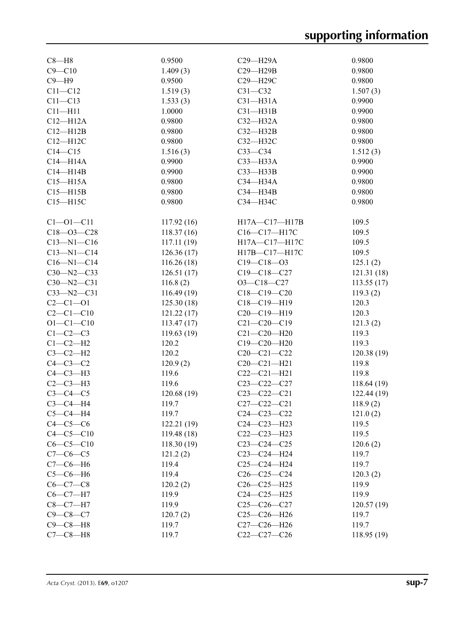| $C8 - H8$        | 0.9500     | $C29 - H29A$      | 0.9800      |
|------------------|------------|-------------------|-------------|
| $C9 - C10$       | 1.409(3)   | $C29 - H29B$      | 0.9800      |
| $C9 - H9$        | 0.9500     | C29-H29C          | 0.9800      |
| $C11 - C12$      | 1.519(3)   | $C31 - C32$       | 1.507(3)    |
| $C11 - C13$      | 1.533(3)   | $C31 - H31A$      | 0.9900      |
| $C11 - H11$      | 1.0000     | $C31 - H31B$      | 0.9900      |
| $C12 - H12A$     | 0.9800     | $C32-H32A$        | 0.9800      |
| $C12 - H12B$     | 0.9800     | $C32-H32B$        | 0.9800      |
| $C12 - H12C$     | 0.9800     | C32-H32C          | 0.9800      |
| $C14 - C15$      | 1.516(3)   | $C33-C34$         | 1.512(3)    |
| $C14 - H14A$     | 0.9900     | $C33$ -H33A       | 0.9900      |
| $C14 - H14B$     | 0.9900     | $C33$ -H33B       | 0.9900      |
| $C15 - H15A$     | 0.9800     | C34-H34A          | 0.9800      |
| $C15 - H15B$     | 0.9800     | $C34 - H34B$      | 0.9800      |
| $C15 - H15C$     | 0.9800     | СЗ4-НЗ4С          | 0.9800      |
|                  |            |                   |             |
| $C1 - 01 - C11$  | 117.92(16) | H17A-C17-H17B     | 109.5       |
| $C18 - 03 - C28$ | 118.37(16) | C16-C17-H17C      | 109.5       |
| $C13 - N1 - C16$ | 117.11(19) | H17A-C17-H17C     | 109.5       |
| $C13 - N1 - C14$ | 126.36(17) | H17B-C17-H17C     | 109.5       |
| $C16 - N1 - C14$ | 116.26(18) | $C19 - C18 - 03$  | 125.1(2)    |
| $C30 - N2 - C33$ | 126.51(17) | $C19 - C18 - C27$ | 121.31(18)  |
| $C30 - N2 - C31$ | 116.8(2)   | $O3 - C18 - C27$  | 113.55(17)  |
| $C33 - N2 - C31$ | 116.49(19) | $C18-C19-C20$     | 119.3(2)    |
| $C2 - C1 - O1$   | 125.30(18) | C18-C19-H19       | 120.3       |
| $C2 - C1 - C10$  | 121.22(17) | $C20-C19-H19$     | 120.3       |
| $O1 - C1 - C10$  | 113.47(17) | $C21 - C20 - C19$ | 121.3(2)    |
| $C1-C2-C3$       | 119.63(19) | $C21 - C20 - H20$ | 119.3       |
| $C1-C2-H2$       | 120.2      | $C19 - C20 - H20$ | 119.3       |
| $C3-C2-H2$       | 120.2      | $C20-C21-C22$     | 120.38(19)  |
| $C4-C3-C2$       | 120.9(2)   | $C20 - C21 - H21$ | 119.8       |
| $C4-C3-H3$       | 119.6      | $C22-C21-H21$     | 119.8       |
| $C2-C3-H3$       | 119.6      | $C23-C22-C27$     | 118.64(19)  |
| $C3-C4-C5$       | 120.68(19) | $C23 - C22 - C21$ | 122.44(19)  |
| $C3-C4-H4$       | 119.7      | $C27 - C22 - C21$ | 118.9(2)    |
| $C5-C4-H4$       | 119.7      | $C24 - C23 - C22$ | 121.0(2)    |
| $C4-C5-C6$       | 122.21(19) | C24-C23-H23       | 119.5       |
| $C4 - C5 - C10$  | 119.48(18) | $C22-C23-H23$     | 119.5       |
| $C6-C5-C10$      | 118.30(19) | $C23-C24-C25$     | 120.6(2)    |
| $C7-C6-C5$       | 121.2(2)   | $C23-C24-H24$     | 119.7       |
| $C7-C6-H6$       | 119.4      | $C25-C24-H24$     | 119.7       |
| $C5-C6-H6$       | 119.4      | $C26-C25-C24$     | 120.3(2)    |
| $C6-C7-C8$       | 120.2(2)   | $C26-C25-H25$     | 119.9       |
| $C6-C7-H7$       | 119.9      | $C24-C25-H25$     | 119.9       |
| $C8 - C7 - H7$   | 119.9      | $C25-C26-C27$     | 120.57(19)  |
| $C9 - C8 - C7$   | 120.7(2)   | $C25-C26-H26$     | 119.7       |
| $C9-C8-H8$       | 119.7      | $C27-C26-H26$     | 119.7       |
| $C7-C8-H8$       | 119.7      | $C22-C27-C26$     | 118.95 (19) |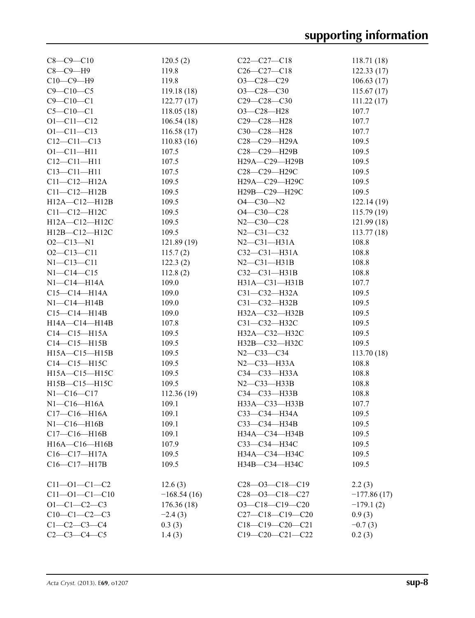| $C8 - C9 - C10$       | 120.5(2)      | $C22-C27-C18$                                       | 118.71(18)    |
|-----------------------|---------------|-----------------------------------------------------|---------------|
| $C8-C9-H9$            | 119.8         | $C26-C27-C18$                                       | 122.33(17)    |
| $C10-C9-H9$           | 119.8         | O3-C28-C29                                          | 106.63(17)    |
| $C9 - C10 - C5$       | 119.18(18)    | $O3 - C28 - C30$                                    | 115.67(17)    |
| $C9 - C10 - C1$       | 122.77(17)    | $C29 - C28 - C30$                                   | 111.22(17)    |
| $C5 - C10 - C1$       | 118.05(18)    | $O3-C28-H28$                                        | 107.7         |
| $O1 - C11 - C12$      | 106.54(18)    | C29-C28-H28                                         | 107.7         |
| $O1 - C11 - C13$      | 116.58(17)    | C30-C28-H28                                         | 107.7         |
| $C12 - C11 - C13$     | 110.83(16)    | $C28 - C29 - H29A$                                  | 109.5         |
| $O1 - C11 - H11$      | 107.5         | C28-C29-H29B                                        | 109.5         |
| $C12 - C11 - H11$     | 107.5         | H29A-C29-H29B                                       | 109.5         |
| $C13 - C11 - H11$     | 107.5         | C <sub>28</sub> -C <sub>29</sub> -H <sub>29</sub> C | 109.5         |
| $C11 - C12 - H12A$    | 109.5         | H29A-C29-H29C                                       | 109.5         |
| $C11 - C12 - H12B$    | 109.5         | H29B-C29-H29C                                       | 109.5         |
| $H12A - C12 - H12B$   | 109.5         | $O4 - C30 - N2$                                     | 122.14(19)    |
|                       | 109.5         |                                                     |               |
| $C11-C12-H12C$        |               | $O4 - C30 - C28$                                    | 115.79(19)    |
| H12A-C12-H12C         | 109.5         | $N2 - C30 - C28$                                    | 121.99(18)    |
| H12B-C12-H12C         | 109.5         | $N2 - C31 - C32$                                    | 113.77(18)    |
| $O2 - C13 - N1$       | 121.89(19)    | $N2-C31-H31A$                                       | 108.8         |
| $O2 - C13 - C11$      | 115.7(2)      | $C32-C31-H31A$                                      | 108.8         |
| $N1 - C13 - C11$      | 122.3(2)      | $N2-C31-H31B$                                       | 108.8         |
| $N1 - C14 - C15$      | 112.8(2)      | $C32-C31-H31B$                                      | 108.8         |
| N1-C14-H14A           | 109.0         | H31A-C31-H31B                                       | 107.7         |
| $C15 - C14 - H14A$    | 109.0         | $C31 - C32 - H32A$                                  | 109.5         |
| $N1-C14-H14B$         | 109.0         | $C31 - C32 - H32B$                                  | 109.5         |
| $C15-C14-H14B$        | 109.0         | H32A-C32-H32B                                       | 109.5         |
| $H14A - C14 - H14B$   | 107.8         | C31-C32-H32C                                        | 109.5         |
| $C14 - C15 - H15A$    | 109.5         | H32A-C32-H32C                                       | 109.5         |
| $C14-C15-H15B$        | 109.5         | H32B-C32-H32C                                       | 109.5         |
| $H15A - C15 - H15B$   | 109.5         | $N2 - C33 - C34$                                    | 113.70(18)    |
| $C14 - C15 - H15C$    | 109.5         | N2-C33-H33A                                         | 108.8         |
| H15A-C15-H15C         | 109.5         | $C34 - C33 - H33A$                                  | 108.8         |
| H15B-C15-H15C         | 109.5         | $N2-C33-H33B$                                       | 108.8         |
| $N1 - C16 - C17$      | 112.36(19)    | C34-C33-H33B                                        | 108.8         |
| $N1-C16-H16A$         | 109.1         | H33A-C33-H33B                                       | 107.7         |
| $C17 - C16 - H16A$    | 109.1         | C33—C34—H34A                                        | 109.5         |
| $N1-C16-H16B$         | 109.1         | C33-C34-H34B                                        | 109.5         |
| $C17-C16-H16B$        | 109.1         | H34A-C34-H34B                                       | 109.5         |
| H16A-C16-H16B         | 107.9         | СЗЗ-СЗ4-НЗ4С                                        | 109.5         |
| $C16 - C17 - H17A$    | 109.5         | H34A-C34-H34C                                       | 109.5         |
| $C16 - C17 - H17B$    |               |                                                     |               |
|                       | 109.5         | H34B-C34-H34C                                       | 109.5         |
| $C11 - O1 - C1 - C2$  | 12.6(3)       | $C28 - 03 - C18 - C19$                              | 2.2(3)        |
| $C11 - O1 - C1 - C10$ | $-168.54(16)$ | $C28 - 03 - C18 - C27$                              | $-177.86(17)$ |
| $O1 - C1 - C2 - C3$   | 176.36(18)    | $O3-C18-C19-C20$                                    | $-179.1(2)$   |
| $C10-C1-C2-C3$        | $-2.4(3)$     | $C27-C18-C19-C20$                                   | 0.9(3)        |
| $C1 - C2 - C3 - C4$   | 0.3(3)        | $C18-C19-C20-C21$                                   | $-0.7(3)$     |
| $C2-C3-C4-C5$         | 1.4(3)        | $C19-C20-C21-C22$                                   | 0.2(3)        |
|                       |               |                                                     |               |